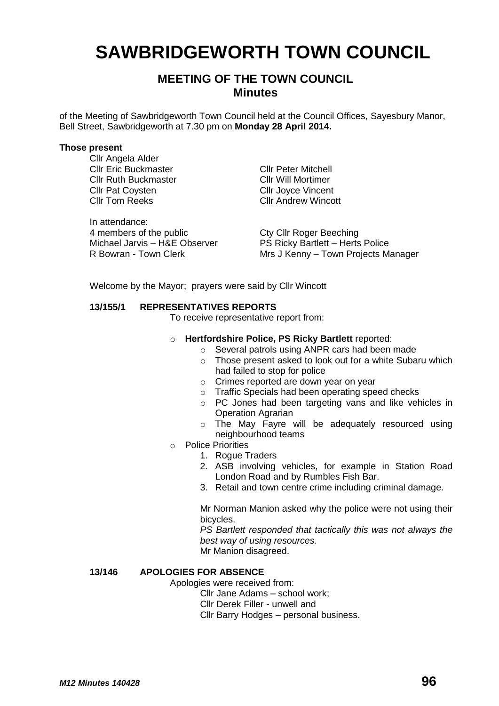# **SAWBRIDGEWORTH TOWN COUNCIL**

# **MEETING OF THE TOWN COUNCIL Minutes**

of the Meeting of Sawbridgeworth Town Council held at the Council Offices, Sayesbury Manor, Bell Street, Sawbridgeworth at 7.30 pm on **Monday 28 April 2014.**

#### **Those present**

Cllr Angela Alder Cllr Eric Buckmaster Cllr Peter Mitchell<br>Cllr Ruth Buckmaster Cllr Will Mortimer Cllr Ruth Buckmaster<br>Cllr Pat Coysten Cllr Tom Reeks Cllr Andrew Wincott

In attendance: 4 members of the public<br>
Michael Jarvis – H&E Observer<br>
PS Ricky Bartlett – Herts Michael Jarvis – H&E Observer PS Ricky Bartlett – Herts Police<br>R Bowran - Town Clerk Mrs J Kenny – Town Projects M

Cllr Joyce Vincent

Mrs J Kenny – Town Projects Manager

Welcome by the Mayor; prayers were said by Cllr Wincott

## **13/155/1 REPRESENTATIVES REPORTS**

To receive representative report from:

- o **Hertfordshire Police, PS Ricky Bartlett** reported:
	- o Several patrols using ANPR cars had been made
	- o Those present asked to look out for a white Subaru which had failed to stop for police
	- o Crimes reported are down year on year
	- o Traffic Specials had been operating speed checks
	- o PC Jones had been targeting vans and like vehicles in Operation Agrarian
	- o The May Fayre will be adequately resourced using neighbourhood teams
- o Police Priorities
	- 1. Rogue Traders
	- 2. ASB involving vehicles, for example in Station Road London Road and by Rumbles Fish Bar.
	- 3. Retail and town centre crime including criminal damage.

Mr Norman Manion asked why the police were not using their bicycles.

*PS Bartlett responded that tactically this was not always the best way of using resources.*

Mr Manion disagreed.

# **13/146 APOLOGIES FOR ABSENCE**

Apologies were received from:

Cllr Jane Adams – school work;

Cllr Derek Filler - unwell and

Cllr Barry Hodges – personal business.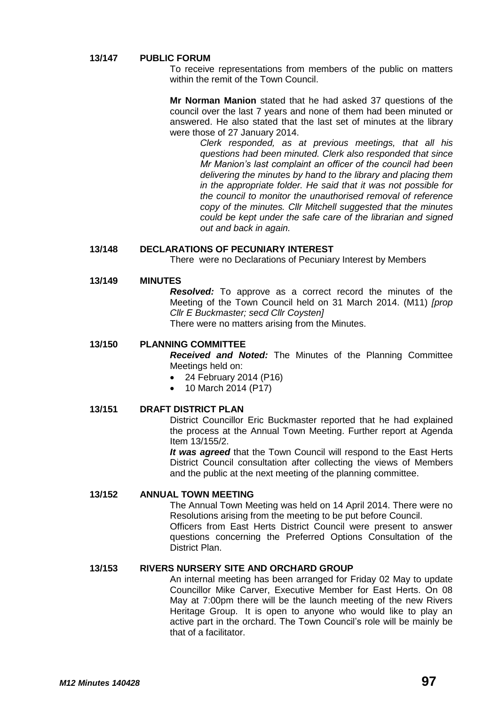#### **13/147 PUBLIC FORUM**

To receive representations from members of the public on matters within the remit of the Town Council.

**Mr Norman Manion** stated that he had asked 37 questions of the council over the last 7 years and none of them had been minuted or answered. He also stated that the last set of minutes at the library were those of 27 January 2014.

> *Clerk responded, as at previous meetings, that all his questions had been minuted. Clerk also responded that since Mr Manion's last complaint an officer of the council had been delivering the minutes by hand to the library and placing them in the appropriate folder. He said that it was not possible for the council to monitor the unauthorised removal of reference copy of the minutes. Cllr Mitchell suggested that the minutes could be kept under the safe care of the librarian and signed out and back in again.*

#### **13/148 DECLARATIONS OF PECUNIARY INTEREST**

There were no Declarations of Pecuniary Interest by Members

## **13/149 MINUTES**

*Resolved:* To approve as a correct record the minutes of the Meeting of the Town Council held on 31 March 2014. (M11) *[prop Cllr E Buckmaster; secd Cllr Coysten]* There were no matters arising from the Minutes.

#### **13/150 PLANNING COMMITTEE**

*Received and Noted:* The Minutes of the Planning Committee Meetings held on:

- 24 February 2014 (P16)
- 10 March 2014 (P17)

#### **13/151 DRAFT DISTRICT PLAN**

District Councillor Eric Buckmaster reported that he had explained the process at the Annual Town Meeting. Further report at Agenda Item 13/155/2.

*It was agreed* that the Town Council will respond to the East Herts District Council consultation after collecting the views of Members and the public at the next meeting of the planning committee.

## **13/152 ANNUAL TOWN MEETING**

The Annual Town Meeting was held on 14 April 2014. There were no Resolutions arising from the meeting to be put before Council.

Officers from East Herts District Council were present to answer questions concerning the Preferred Options Consultation of the District Plan.

#### **13/153 RIVERS NURSERY SITE AND ORCHARD GROUP**

An internal meeting has been arranged for Friday 02 May to update Councillor Mike Carver, Executive Member for East Herts. On 08 May at 7:00pm there will be the launch meeting of the new Rivers Heritage Group. It is open to anyone who would like to play an active part in the orchard. The Town Council's role will be mainly be that of a facilitator.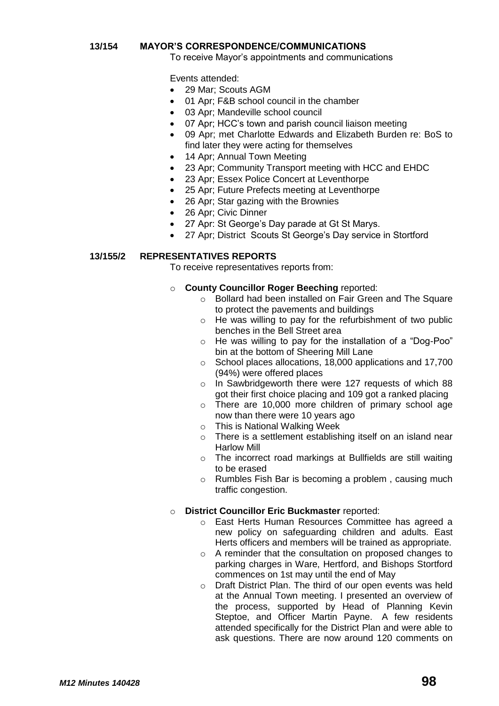## **13/154 MAYOR'S CORRESPONDENCE/COMMUNICATIONS**

To receive Mayor's appointments and communications

Events attended:

- 29 Mar: Scouts AGM
- 01 Apr; F&B school council in the chamber
- 03 Apr; Mandeville school council
- 07 Apr; HCC's town and parish council liaison meeting
- 09 Apr; met Charlotte Edwards and Elizabeth Burden re: BoS to find later they were acting for themselves
- 14 Apr; Annual Town Meeting
- 23 Apr; Community Transport meeting with HCC and EHDC
- 23 Apr; Essex Police Concert at Leventhorpe
- 25 Apr; Future Prefects meeting at Leventhorpe
- 26 Apr; Star gazing with the Brownies
- 26 Apr; Civic Dinner
- 27 Apr: St George's Day parade at Gt St Marys.
- 27 Apr; District Scouts St George's Day service in Stortford

## **13/155/2 REPRESENTATIVES REPORTS**

To receive representatives reports from:

## o **County Councillor Roger Beeching** reported:

- o Bollard had been installed on Fair Green and The Square to protect the pavements and buildings
- o He was willing to pay for the refurbishment of two public benches in the Bell Street area
- o He was willing to pay for the installation of a "Dog-Poo" bin at the bottom of Sheering Mill Lane
- o School places allocations, 18,000 applications and 17,700 (94%) were offered places
- o In Sawbridgeworth there were 127 requests of which 88 got their first choice placing and 109 got a ranked placing
- o There are 10,000 more children of primary school age now than there were 10 years ago
- o This is National Walking Week
- o There is a settlement establishing itself on an island near Harlow Mill
- o The incorrect road markings at Bullfields are still waiting to be erased
- o Rumbles Fish Bar is becoming a problem , causing much traffic congestion.

# o **District Councillor Eric Buckmaster** reported:

- o East Herts Human Resources Committee has agreed a new policy on safeguarding children and adults. East Herts officers and members will be trained as appropriate.
- o A reminder that the consultation on proposed changes to parking charges in Ware, Hertford, and Bishops Stortford commences on 1st may until the end of May
- o Draft District Plan. The third of our open events was held at the Annual Town meeting. I presented an overview of the process, supported by Head of Planning Kevin Steptoe, and Officer Martin Payne. A few residents attended specifically for the District Plan and were able to ask questions. There are now around 120 comments on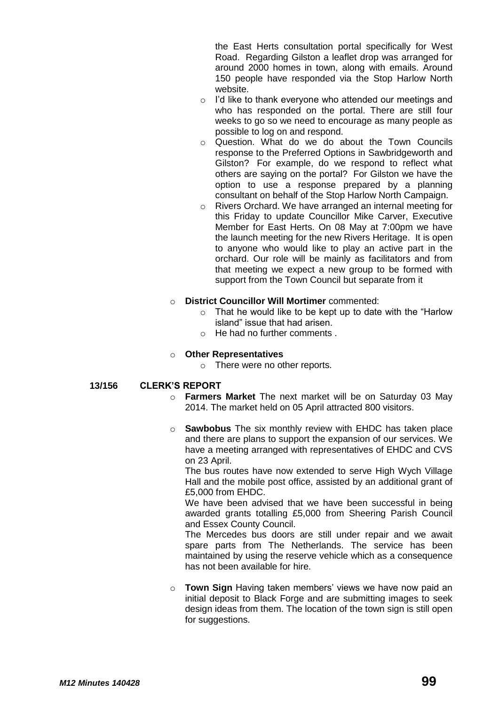the East Herts consultation portal specifically for West Road. Regarding Gilston a leaflet drop was arranged for around 2000 homes in town, along with emails. Around 150 people have responded via the Stop Harlow North website.

- o I'd like to thank everyone who attended our meetings and who has responded on the portal. There are still four weeks to go so we need to encourage as many people as possible to log on and respond.
- o Question. What do we do about the Town Councils response to the Preferred Options in Sawbridgeworth and Gilston? For example, do we respond to reflect what others are saying on the portal? For Gilston we have the option to use a response prepared by a planning consultant on behalf of the Stop Harlow North Campaign.
- o Rivers Orchard. We have arranged an internal meeting for this Friday to update Councillor Mike Carver, Executive Member for East Herts. On 08 May at 7:00pm we have the launch meeting for the new Rivers Heritage. It is open to anyone who would like to play an active part in the orchard. Our role will be mainly as facilitators and from that meeting we expect a new group to be formed with support from the Town Council but separate from it
- o **District Councillor Will Mortimer** commented:
	- $\circ$  That he would like to be kept up to date with the "Harlow" island" issue that had arisen.
	- o He had no further comments .

#### o **Other Representatives**

o There were no other reports.

#### **13/156 CLERK'S REPORT**

- o **Farmers Market** The next market will be on Saturday 03 May 2014. The market held on 05 April attracted 800 visitors.
- o **Sawbobus** The six monthly review with EHDC has taken place and there are plans to support the expansion of our services. We have a meeting arranged with representatives of EHDC and CVS on 23 April.

The bus routes have now extended to serve High Wych Village Hall and the mobile post office, assisted by an additional grant of £5,000 from EHDC.

We have been advised that we have been successful in being awarded grants totalling £5,000 from Sheering Parish Council and Essex County Council.

The Mercedes bus doors are still under repair and we await spare parts from The Netherlands. The service has been maintained by using the reserve vehicle which as a consequence has not been available for hire.

o **Town Sign** Having taken members' views we have now paid an initial deposit to Black Forge and are submitting images to seek design ideas from them. The location of the town sign is still open for suggestions.